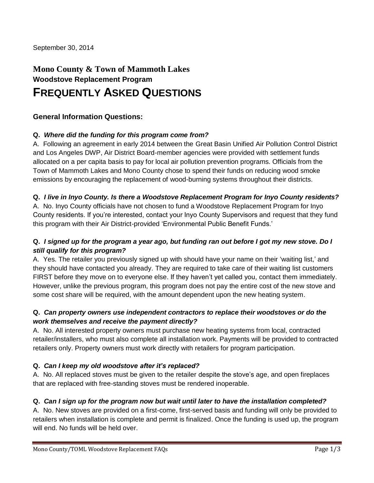# **Mono County & Town of Mammoth Lakes Woodstove Replacement Program**

# **FREQUENTLY ASKED QUESTIONS**

# **General Information Questions:**

#### **Q.** *Where did the funding for this program come from?*

A. Following an agreement in early 2014 between the Great Basin Unified Air Pollution Control District and Los Angeles DWP, Air District Board-member agencies were provided with settlement funds allocated on a per capita basis to pay for local air pollution prevention programs. Officials from the Town of Mammoth Lakes and Mono County chose to spend their funds on reducing wood smoke emissions by encouraging the replacement of wood-burning systems throughout their districts.

#### **Q.** *I live in Inyo County. Is there a Woodstove Replacement Program for Inyo County residents?*

A. No. Inyo County officials have not chosen to fund a Woodstove Replacement Program for Inyo County residents. If you're interested, contact your Inyo County Supervisors and request that they fund this program with their Air District-provided 'Environmental Public Benefit Funds.'

# **Q.** *I signed up for the program a year ago, but funding ran out before I got my new stove. Do I still qualify for this program?*

A. Yes. The retailer you previously signed up with should have your name on their 'waiting list,' and they should have contacted you already. They are required to take care of their waiting list customers FIRST before they move on to everyone else. If they haven't yet called you, contact them immediately. However, unlike the previous program, this program does not pay the entire cost of the new stove and some cost share will be required, with the amount dependent upon the new heating system.

#### **Q.** *Can property owners use independent contractors to replace their woodstoves or do the work themselves and receive the payment directly?*

A. No. All interested property owners must purchase new heating systems from local, contracted retailer/installers, who must also complete all installation work. Payments will be provided to contracted retailers only. Property owners must work directly with retailers for program participation.

# **Q.** *Can I keep my old woodstove after it's replaced?*

A. No. All replaced stoves must be given to the retailer despite the stove's age, and open fireplaces that are replaced with free-standing stoves must be rendered inoperable.

#### **Q.** *Can I sign up for the program now but wait until later to have the installation completed?*

A. No. New stoves are provided on a first-come, first-served basis and funding will only be provided to retailers when installation is complete and permit is finalized. Once the funding is used up, the program will end. No funds will be held over.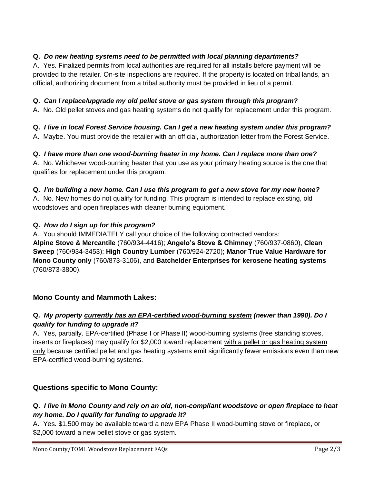# **Q.** *Do new heating systems need to be permitted with local planning departments?*

A. Yes. Finalized permits from local authorities are required for all installs before payment will be provided to the retailer. On-site inspections are required. If the property is located on tribal lands, an official, authorizing document from a tribal authority must be provided in lieu of a permit.

#### **Q.** *Can I replace/upgrade my old pellet stove or gas system through this program?*

A. No. Old pellet stoves and gas heating systems do not qualify for replacement under this program.

# **Q.** *I live in local Forest Service housing. Can I get a new heating system under this program?*

A. Maybe. You must provide the retailer with an official, authorization letter from the Forest Service.

# **Q.** *I have more than one wood-burning heater in my home. Can I replace more than one?*

A. No. Whichever wood-burning heater that you use as your primary heating source is the one that qualifies for replacement under this program.

#### **Q.** *I'm building a new home. Can I use this program to get a new stove for my new home?*

A. No. New homes do not qualify for funding. This program is intended to replace existing, old woodstoves and open fireplaces with cleaner burning equipment.

#### **Q.** *How do I sign up for this program?*

A. You should IMMEDIATELY call your choice of the following contracted vendors: **Alpine Stove & Mercantile** (760/934-4416); **Angelo's Stove & Chimney** (760/937-0860), **Clean Sweep** (760/934-3453); **High Country Lumber** (760/924-2720); **Manor True Value Hardware for Mono County only** (760/873-3106), and **Batchelder Enterprises for kerosene heating systems**  (760/873-3800).

# **Mono County and Mammoth Lakes:**

#### **Q.** *My property currently has an EPA-certified wood-burning system (newer than 1990). Do I qualify for funding to upgrade it?*

A. Yes, partially. EPA-certified (Phase I or Phase II) wood-burning systems (free standing stoves, inserts or fireplaces) may qualify for \$2,000 toward replacement with a pellet or gas heating system only because certified pellet and gas heating systems emit significantly fewer emissions even than new EPA-certified wood-burning systems.

# **Questions specific to Mono County:**

# **Q.** *I live in Mono County and rely on an old, non-compliant woodstove or open fireplace to heat my home. Do I qualify for funding to upgrade it?*

A. Yes. \$1,500 may be available toward a new EPA Phase II wood-burning stove or fireplace, or \$2,000 toward a new pellet stove or gas system.